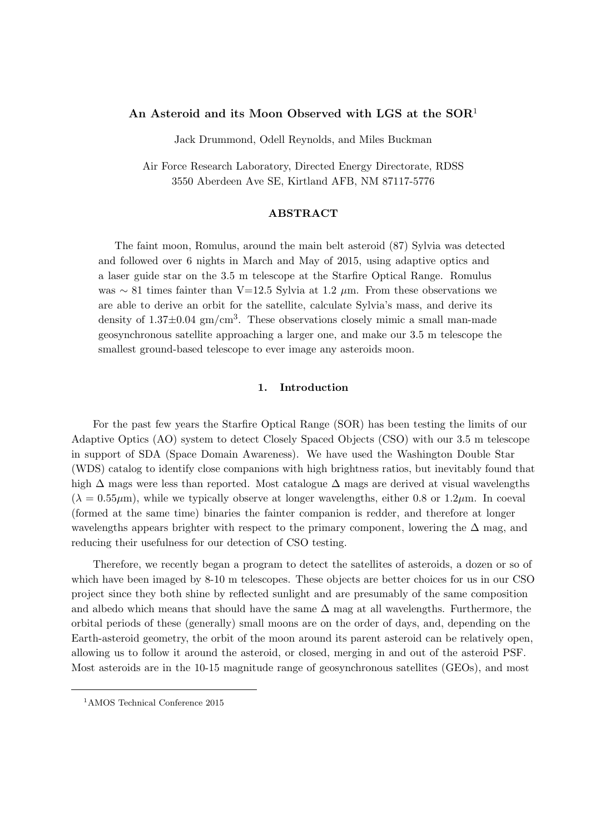# **An Asteroid and its Moon Observed with LGS at the SOR**<sup>1</sup>

Jack Drummond, Odell Reynolds, and Miles Buckman

Air Force Research Laboratory, Directed Energy Directorate, RDSS 3550 Aberdeen Ave SE, Kirtland AFB, NM 87117-5776

### **ABSTRACT**

The faint moon, Romulus, around the main belt asteroid (87) Sylvia was detected and followed over 6 nights in March and May of 2015, using adaptive optics and a laser guide star on the 3.5 m telescope at the Starfire Optical Range. Romulus was *∼* 81 times fainter than V=12.5 Sylvia at 1.2 *µ*m. From these observations we are able to derive an orbit for the satellite, calculate Sylvia's mass, and derive its density of  $1.37\pm0.04$  gm/cm<sup>3</sup>. These observations closely mimic a small man-made geosynchronous satellite approaching a larger one, and make our 3.5 m telescope the smallest ground-based telescope to ever image any asteroids moon.

## **1. Introduction**

For the past few years the Starfire Optical Range (SOR) has been testing the limits of our Adaptive Optics (AO) system to detect Closely Spaced Objects (CSO) with our 3.5 m telescope in support of SDA (Space Domain Awareness). We have used the Washington Double Star (WDS) catalog to identify close companions with high brightness ratios, but inevitably found that high ∆ mags were less than reported. Most catalogue ∆ mags are derived at visual wavelengths  $(\lambda = 0.55 \mu m)$ , while we typically observe at longer wavelengths, either 0.8 or 1.2 $\mu$ m. In coeval (formed at the same time) binaries the fainter companion is redder, and therefore at longer wavelengths appears brighter with respect to the primary component, lowering the  $\Delta$  mag, and reducing their usefulness for our detection of CSO testing.

Therefore, we recently began a program to detect the satellites of asteroids, a dozen or so of which have been imaged by 8-10 m telescopes. These objects are better choices for us in our CSO project since they both shine by reflected sunlight and are presumably of the same composition and albedo which means that should have the same  $\Delta$  mag at all wavelengths. Furthermore, the orbital periods of these (generally) small moons are on the order of days, and, depending on the Earth-asteroid geometry, the orbit of the moon around its parent asteroid can be relatively open, allowing us to follow it around the asteroid, or closed, merging in and out of the asteroid PSF. Most asteroids are in the 10-15 magnitude range of geosynchronous satellites (GEOs), and most

<sup>&</sup>lt;sup>1</sup>AMOS Technical Conference 2015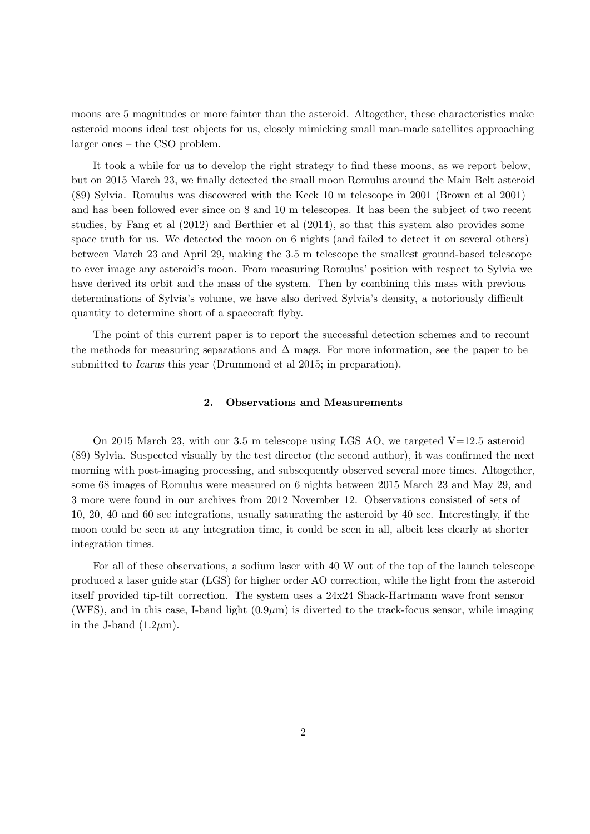moons are 5 magnitudes or more fainter than the asteroid. Altogether, these characteristics make asteroid moons ideal test objects for us, closely mimicking small man-made satellites approaching larger ones – the CSO problem.

It took a while for us to develop the right strategy to find these moons, as we report below, but on 2015 March 23, we finally detected the small moon Romulus around the Main Belt asteroid (89) Sylvia. Romulus was discovered with the Keck 10 m telescope in 2001 (Brown et al 2001) and has been followed ever since on 8 and 10 m telescopes. It has been the subject of two recent studies, by Fang et al (2012) and Berthier et al (2014), so that this system also provides some space truth for us. We detected the moon on 6 nights (and failed to detect it on several others) between March 23 and April 29, making the 3.5 m telescope the smallest ground-based telescope to ever image any asteroid's moon. From measuring Romulus' position with respect to Sylvia we have derived its orbit and the mass of the system. Then by combining this mass with previous determinations of Sylvia's volume, we have also derived Sylvia's density, a notoriously difficult quantity to determine short of a spacecraft flyby.

The point of this current paper is to report the successful detection schemes and to recount the methods for measuring separations and  $\Delta$  mags. For more information, see the paper to be submitted to *Icarus* this year (Drummond et al 2015; in preparation).

#### **2. Observations and Measurements**

On 2015 March 23, with our 3.5 m telescope using LGS AO, we targeted  $V=12.5$  asteroid (89) Sylvia. Suspected visually by the test director (the second author), it was confirmed the next morning with post-imaging processing, and subsequently observed several more times. Altogether, some 68 images of Romulus were measured on 6 nights between 2015 March 23 and May 29, and 3 more were found in our archives from 2012 November 12. Observations consisted of sets of 10, 20, 40 and 60 sec integrations, usually saturating the asteroid by 40 sec. Interestingly, if the moon could be seen at any integration time, it could be seen in all, albeit less clearly at shorter integration times.

For all of these observations, a sodium laser with 40 W out of the top of the launch telescope produced a laser guide star (LGS) for higher order AO correction, while the light from the asteroid itself provided tip-tilt correction. The system uses a 24x24 Shack-Hartmann wave front sensor (WFS), and in this case, I-band light  $(0.9 \mu m)$  is diverted to the track-focus sensor, while imaging in the J-band  $(1.2 \mu m)$ .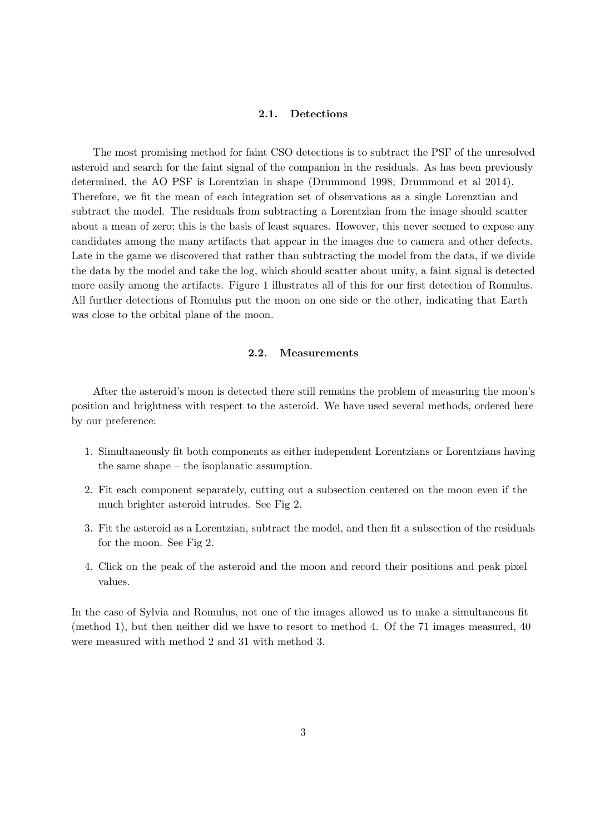## **2.1. Detections**

The most promising method for faint CSO detections is to subtract the PSF of the unresolved asteroid and search for the faint signal of the companion in the residuals. As has been previously determined, the AO PSF is Lorentzian in shape (Drummond 1998; Drummond et al 2014). Therefore, we fit the mean of each integration set of observations as a single Lorenztian and subtract the model. The residuals from subtracting a Lorentzian from the image should scatter about a mean of zero; this is the basis of least squares. However, this never seemed to expose any candidates among the many artifacts that appear in the images due to camera and other defects. Late in the game we discovered that rather than subtracting the model from the data, if we divide the data by the model and take the log, which should scatter about unity, a faint signal is detected more easily among the artifacts. Figure 1 illustrates all of this for our first detection of Romulus. All further detections of Romulus put the moon on one side or the other, indicating that Earth was close to the orbital plane of the moon.

### **2.2. Measurements**

After the asteroid's moon is detected there still remains the problem of measuring the moon's position and brightness with respect to the asteroid. We have used several methods, ordered here by our preference:

- 1. Simultaneously fit both components as either independent Lorentzians or Lorentzians having the same shape – the isoplanatic assumption.
- 2. Fit each component separately, cutting out a subsection centered on the moon even if the much brighter asteroid intrudes. See Fig 2.
- 3. Fit the asteroid as a Lorentzian, subtract the model, and then fit a subsection of the residuals for the moon. See Fig 2.
- 4. Click on the peak of the asteroid and the moon and record their positions and peak pixel values.

In the case of Sylvia and Romulus, not one of the images allowed us to make a simultaneous fit (method 1), but then neither did we have to resort to method 4. Of the 71 images measured, 40 were measured with method 2 and 31 with method 3.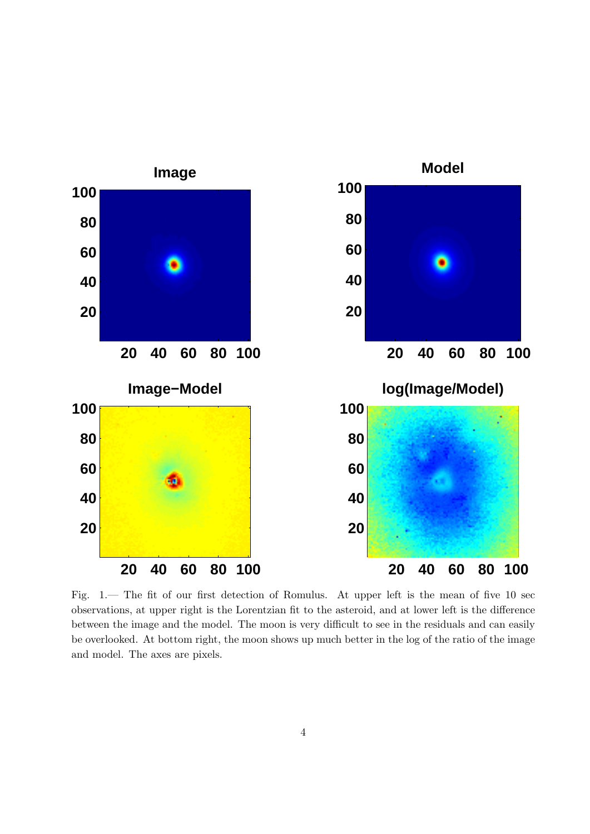

Fig. 1.— The fit of our first detection of Romulus. At upper left is the mean of five 10 sec observations, at upper right is the Lorentzian fit to the asteroid, and at lower left is the difference between the image and the model. The moon is very difficult to see in the residuals and can easily be overlooked. At bottom right, the moon shows up much better in the log of the ratio of the image and model. The axes are pixels.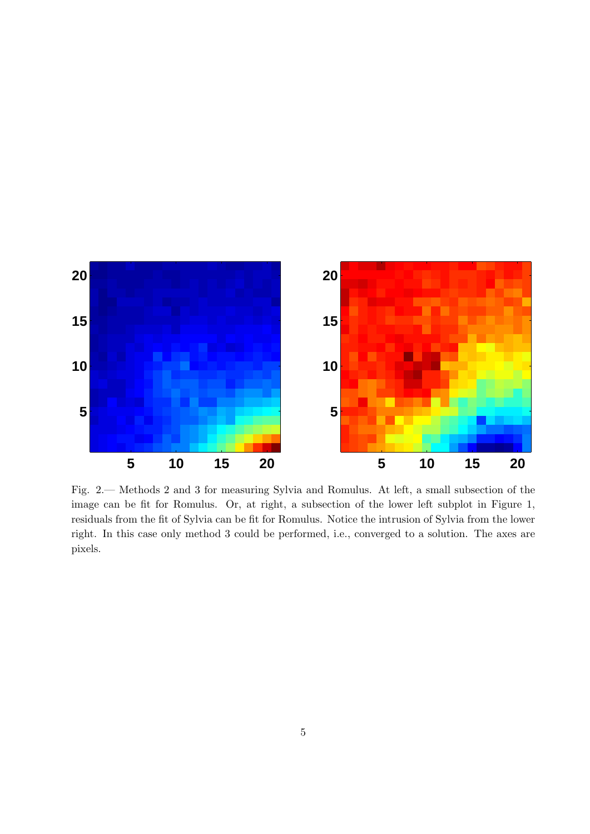

Fig. 2.— Methods 2 and 3 for measuring Sylvia and Romulus. At left, a small subsection of the image can be fit for Romulus. Or, at right, a subsection of the lower left subplot in Figure 1, residuals from the fit of Sylvia can be fit for Romulus. Notice the intrusion of Sylvia from the lower right. In this case only method 3 could be performed, i.e., converged to a solution. The axes are pixels.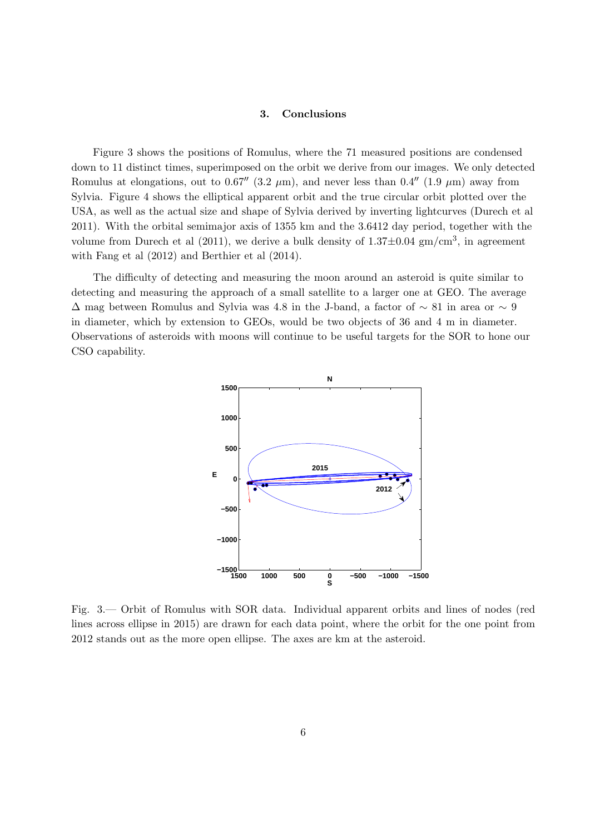# **3. Conclusions**

Figure 3 shows the positions of Romulus, where the 71 measured positions are condensed down to 11 distinct times, superimposed on the orbit we derive from our images. We only detected Romulus at elongations, out to 0.67<sup> $\prime\prime$ </sup> (3.2  $\mu$ m), and never less than 0.4<sup> $\prime\prime$ </sup> (1.9  $\mu$ m) away from Sylvia. Figure 4 shows the elliptical apparent orbit and the true circular orbit plotted over the USA, as well as the actual size and shape of Sylvia derived by inverting lightcurves (Durech et al 2011). With the orbital semimajor axis of 1355 km and the 3.6412 day period, together with the volume from Durech et al (2011), we derive a bulk density of 1.37*±*0*.*04 gm/cm<sup>3</sup> , in agreement with Fang et al (2012) and Berthier et al (2014).

The difficulty of detecting and measuring the moon around an asteroid is quite similar to detecting and measuring the approach of a small satellite to a larger one at GEO. The average ∆ mag between Romulus and Sylvia was 4.8 in the J-band, a factor of *∼* 81 in area or *∼* 9 in diameter, which by extension to GEOs, would be two objects of 36 and 4 m in diameter. Observations of asteroids with moons will continue to be useful targets for the SOR to hone our CSO capability.



Fig. 3.— Orbit of Romulus with SOR data. Individual apparent orbits and lines of nodes (red lines across ellipse in 2015) are drawn for each data point, where the orbit for the one point from 2012 stands out as the more open ellipse. The axes are km at the asteroid.